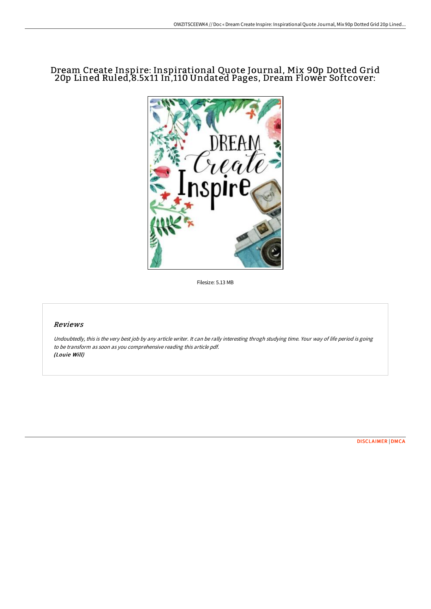# Dream Create Inspire: Inspirational Quote Journal, Mix 90p Dotted Grid 20p Lined Ruled,8.5x11 In,110 Undated Pages, Dream Flower Softcover:



Filesize: 5.13 MB

### Reviews

Undoubtedly, this is the very best job by any article writer. It can be rally interesting throgh studying time. Your way of life period is going to be transform as soon as you comprehensive reading this article pdf. (Louie Will)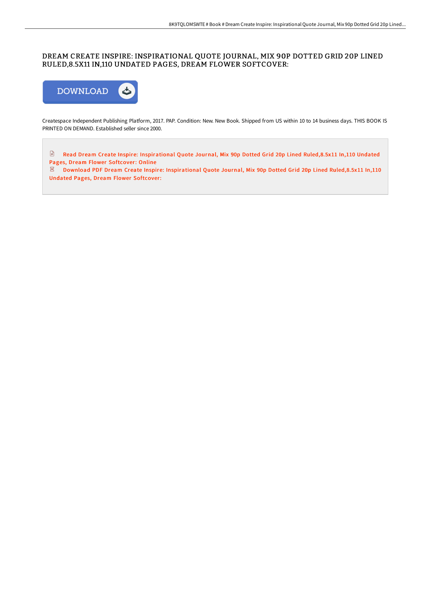### DREAM CREATE INSPIRE: INSPIRATIONAL QUOTE JOURNAL, MIX 90P DOTTED GRID 20P LINED RULED,8.5X11 IN,110 UNDATED PAGES, DREAM FLOWER SOFTCOVER:



Createspace Independent Publishing Platform, 2017. PAP. Condition: New. New Book. Shipped from US within 10 to 14 business days. THIS BOOK IS PRINTED ON DEMAND. Established seller since 2000.

 $\mathbf{r}$ Read Dream Create Inspire: [Inspirational](http://albedo.media/dream-create-inspire-inspirational-quote-journal.html) Quote Journal, Mix 90p Dotted Grid 20p Lined Ruled,8.5x11 In,110 Undated Pages, Dream Flower Softcover: Online

 $\overline{E}$  Download PDF Dream Create Inspire: [Inspirational](http://albedo.media/dream-create-inspire-inspirational-quote-journal.html) Quote Journal, Mix 90p Dotted Grid 20p Lined Ruled,8.5x11 In,110 Undated Pages, Dream Flower Softcover: